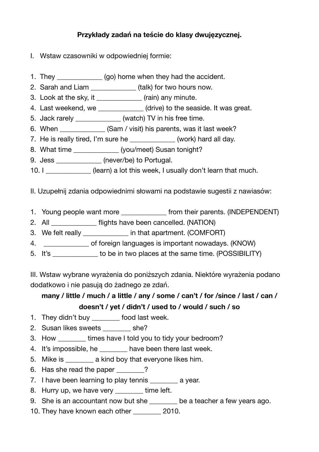## **Przykłady zadań na teście do klasy dwujęzycznej.**

- I. Wstaw czasowniki w odpowiedniej formie:
- 1. They \_\_\_\_\_\_\_\_\_\_\_\_\_ (go) home when they had the accident.
- 2. Sarah and Liam \_\_\_\_\_\_\_\_\_\_\_\_\_ (talk) for two hours now.
- 3. Look at the sky, it \_\_\_\_\_\_\_\_\_\_\_\_\_ (rain) any minute.
- 4. Last weekend, we \_\_\_\_\_\_\_\_\_\_\_\_ (drive) to the seaside. It was great.
- 5. Jack rarely \_\_\_\_\_\_\_\_\_\_\_\_\_ (watch) TV in his free time.
- 6. When **Source 10. (Sam / visit)** his parents, was it last week?
- 7. He is really tired, I'm sure he  $(work)$  hard all day.
- 8. What time  $(vou/meet)$  Susan tonight?
- 9. Jess (never/be) to Portugal.
- 10. I **Subset Clearn**) a lot this week, I usually don't learn that much.

II. Uzupełnij zdania odpowiednimi słowami na podstawie sugestii z nawiasów:

- 1. Young people want more **the state of the state of the state of the state of the state of the state of the state of the state of the state of the state of the state of the state of the state of the state of the state of**
- 2. All \_\_\_\_\_\_\_\_\_\_\_\_\_ flights have been cancelled. (NATION)
- 3. We felt really \_\_\_\_\_\_\_\_\_\_\_\_\_ in that apartment. (COMFORT)
- 4. \_\_\_\_\_\_\_\_\_\_\_\_\_ of foreign languages is important nowadays. (KNOW)
- 5. It's to be in two places at the same time. (POSSIBILITY)

III. Wstaw wybrane wyrażenia do poniższych zdania. Niektóre wyrażenia podano dodatkowo i nie pasują do żadnego ze zdań.

## many / little / much / a little / any / some / can't / for /since / last / can / **doesn't / yet / didn't / used to / would / such / so**

- 1. They didn't buy \_\_\_\_\_\_\_ food last week.
- 2. Susan likes sweets \_\_\_\_\_\_\_ she?
- 3. How times have I told you to tidy your bedroom?
- 4. It's impossible, he \_\_\_\_\_\_\_\_ have been there last week.
- 5. Mike is \_\_\_\_\_\_\_\_ a kind boy that everyone likes him.
- 6. Has she read the paper 2
- 7. I have been learning to play tennis a year.
- 8. Hurry up, we have very \_\_\_\_\_\_\_ time left.
- 9. She is an accountant now but she \_\_\_\_\_\_\_ be a teacher a few years ago.
- 10. They have known each other 2010.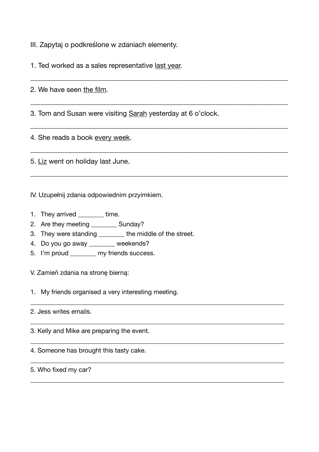III. Zapytaj o podkreślone w zdaniach elementy.

1. Ted worked as a sales representative last year.

2. We have seen the film.

3. Tom and Susan were visiting Sarah yesterday at 6 o'clock.

\_\_\_\_\_\_\_\_\_\_\_\_\_\_\_\_\_\_\_\_\_\_\_\_\_\_\_\_\_\_\_\_\_\_\_\_\_\_\_\_\_\_\_\_\_\_\_\_\_\_\_\_\_\_\_\_\_\_\_\_\_\_\_\_\_\_\_\_\_\_\_\_\_\_

\_\_\_\_\_\_\_\_\_\_\_\_\_\_\_\_\_\_\_\_\_\_\_\_\_\_\_\_\_\_\_\_\_\_\_\_\_\_\_\_\_\_\_\_\_\_\_\_\_\_\_\_\_\_\_\_\_\_\_\_\_\_\_\_\_\_\_\_\_\_\_\_\_\_

\_\_\_\_\_\_\_\_\_\_\_\_\_\_\_\_\_\_\_\_\_\_\_\_\_\_\_\_\_\_\_\_\_\_\_\_\_\_\_\_\_\_\_\_\_\_\_\_\_\_\_\_\_\_\_\_\_\_\_\_\_\_\_\_\_\_\_\_\_\_\_\_\_\_

\_\_\_\_\_\_\_\_\_\_\_\_\_\_\_\_\_\_\_\_\_\_\_\_\_\_\_\_\_\_\_\_\_\_\_\_\_\_\_\_\_\_\_\_\_\_\_\_\_\_\_\_\_\_\_\_\_\_\_\_\_\_\_\_\_\_\_\_\_\_\_\_\_\_

\_\_\_\_\_\_\_\_\_\_\_\_\_\_\_\_\_\_\_\_\_\_\_\_\_\_\_\_\_\_\_\_\_\_\_\_\_\_\_\_\_\_\_\_\_\_\_\_\_\_\_\_\_\_\_\_\_\_\_\_\_\_\_\_\_\_\_\_\_\_\_\_\_\_

\_\_\_\_\_\_\_\_\_\_\_\_\_\_\_\_\_\_\_\_\_\_\_\_\_\_\_\_\_\_\_\_\_\_\_\_\_\_\_\_\_\_\_\_\_\_\_\_\_\_\_\_\_\_\_\_\_\_\_\_\_\_\_\_\_\_\_\_\_\_\_\_\_\_\_\_\_\_\_

\_\_\_\_\_\_\_\_\_\_\_\_\_\_\_\_\_\_\_\_\_\_\_\_\_\_\_\_\_\_\_\_\_\_\_\_\_\_\_\_\_\_\_\_\_\_\_\_\_\_\_\_\_\_\_\_\_\_\_\_\_\_\_\_\_\_\_\_\_\_\_\_\_\_\_\_\_\_\_

\_\_\_\_\_\_\_\_\_\_\_\_\_\_\_\_\_\_\_\_\_\_\_\_\_\_\_\_\_\_\_\_\_\_\_\_\_\_\_\_\_\_\_\_\_\_\_\_\_\_\_\_\_\_\_\_\_\_\_\_\_\_\_\_\_\_\_\_\_\_\_\_\_\_\_\_\_\_\_

\_\_\_\_\_\_\_\_\_\_\_\_\_\_\_\_\_\_\_\_\_\_\_\_\_\_\_\_\_\_\_\_\_\_\_\_\_\_\_\_\_\_\_\_\_\_\_\_\_\_\_\_\_\_\_\_\_\_\_\_\_\_\_\_\_\_\_\_\_\_\_\_\_\_\_\_\_\_\_

\_\_\_\_\_\_\_\_\_\_\_\_\_\_\_\_\_\_\_\_\_\_\_\_\_\_\_\_\_\_\_\_\_\_\_\_\_\_\_\_\_\_\_\_\_\_\_\_\_\_\_\_\_\_\_\_\_\_\_\_\_\_\_\_\_\_\_\_\_\_\_\_\_\_\_\_\_\_\_

4. She reads a book every week.

5. Liz went on holiday last June.

IV. Uzupełnij zdania odpowiednim przyimkiem.

- 1. They arrived time.
- 2. Are they meeting \_\_\_\_\_\_\_\_\_ Sunday?

3. They were standing \_\_\_\_\_\_\_\_ the middle of the street.

- 4. Do you go away \_\_\_\_\_\_\_ weekends?
- 5. I'm proud \_\_\_\_\_\_\_ my friends success.

V. Zamień zdania na stronę bierną:

1. My friends organised a very interesting meeting.

2. Jess writes emails.

3. Kelly and Mike are preparing the event.

4. Someone has brought this tasty cake.

5. Who fixed my car?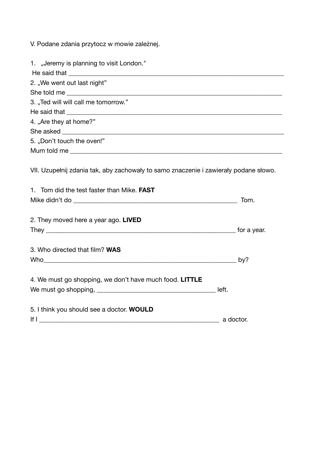V. Podane zdania przytocz w mowie zależnej.

| 1. "Jeremy is planning to visit London."                                                                                                                                                                                             |                |
|--------------------------------------------------------------------------------------------------------------------------------------------------------------------------------------------------------------------------------------|----------------|
| 2. "We went out last night"                                                                                                                                                                                                          |                |
|                                                                                                                                                                                                                                      |                |
| 3. "Ted will will call me tomorrow."                                                                                                                                                                                                 |                |
|                                                                                                                                                                                                                                      |                |
| 4. "Are they at home?"                                                                                                                                                                                                               |                |
|                                                                                                                                                                                                                                      |                |
| 5. "Don't touch the oven!"                                                                                                                                                                                                           |                |
|                                                                                                                                                                                                                                      |                |
|                                                                                                                                                                                                                                      |                |
| VII. Uzupełnij zdania tak, aby zachowały to samo znaczenie i zawierały podane słowo.                                                                                                                                                 |                |
| 1. Tom did the test faster than Mike. FAST                                                                                                                                                                                           |                |
| Mike didn't do <b>that is a structure of the structure of the structure of the structure of the structure of the structure of the structure of the structure of the structure of the structure of the structure of the structure</b> | Tom.           |
| 2. They moved here a year ago. LIVED                                                                                                                                                                                                 |                |
|                                                                                                                                                                                                                                      |                |
| 3. Who directed that film? WAS                                                                                                                                                                                                       |                |
| Who has a strong that the contract of the contract of the contract of the contract of the contract of the contract of the contract of the contract of the contract of the contract of the contract of the contract of the cont       | by?            |
| 4. We must go shopping, we don't have much food. LITTLE                                                                                                                                                                              |                |
|                                                                                                                                                                                                                                      |                |
|                                                                                                                                                                                                                                      |                |
| 5. I think you should see a doctor. WOULD                                                                                                                                                                                            |                |
|                                                                                                                                                                                                                                      | ____ a doctor. |